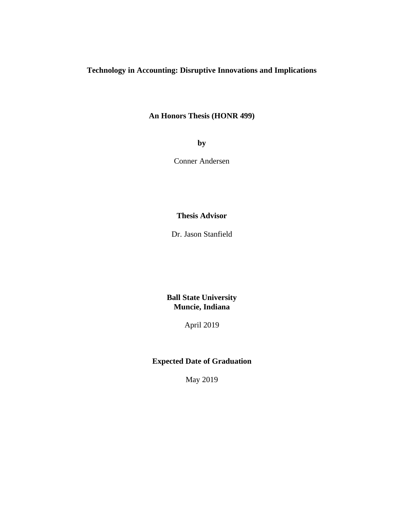# **Technology in Accounting: Disruptive Innovations and Implications**

## **An Honors Thesis (HONR 499)**

**by** 

Conner Andersen

## **Thesis Advisor**

Dr. Jason Stanfield

**Ball State University Muncie, Indiana** 

April 2019

# **Expected Date of Graduation**

May 2019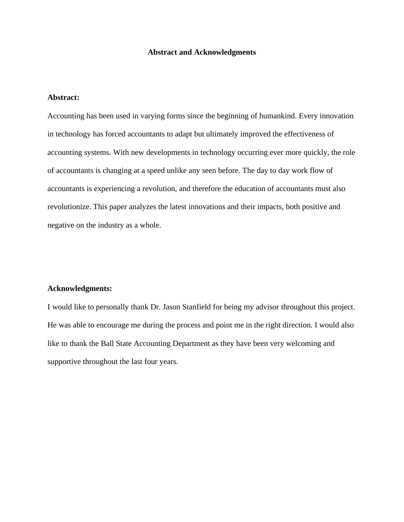#### **Abstract and Acknowledgments**

## **Abstract:**

Accounting has been used in varying forms since the beginning of humankind. Every innovation in technology has forced accountants to adapt but ultimately improved the effectiveness of accounting systems. With new developments in technology occurring ever more quickly, the role of accountants is changing at a speed unlike any seen before. The day to day work flow of accountants is experiencing a revolution, and therefore the education of accountants must also revolutionize. This paper analyzes the latest innovations and their impacts, both positive and negative on the industry as a whole.

#### **Acknowledgments:**

I would like to personally thank Dr. Jason Stanfield for being my advisor throughout this project. He was able to encourage me during the process and point me in the right direction. I would also like to thank the Ball State Accounting Department as they have been very welcoming and supportive throughout the last four years.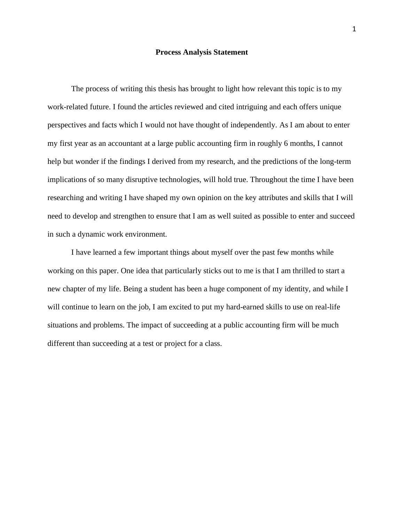#### **Process Analysis Statement**

The process of writing this thesis has brought to light how relevant this topic is to my work-related future. I found the articles reviewed and cited intriguing and each offers unique perspectives and facts which I would not have thought of independently. As I am about to enter my first year as an accountant at a large public accounting firm in roughly 6 months, I cannot help but wonder if the findings I derived from my research, and the predictions of the long-term implications of so many disruptive technologies, will hold true. Throughout the time I have been researching and writing I have shaped my own opinion on the key attributes and skills that I will need to develop and strengthen to ensure that I am as well suited as possible to enter and succeed in such a dynamic work environment.

 I have learned a few important things about myself over the past few months while working on this paper. One idea that particularly sticks out to me is that I am thrilled to start a new chapter of my life. Being a student has been a huge component of my identity, and while I will continue to learn on the job, I am excited to put my hard-earned skills to use on real-life situations and problems. The impact of succeeding at a public accounting firm will be much different than succeeding at a test or project for a class.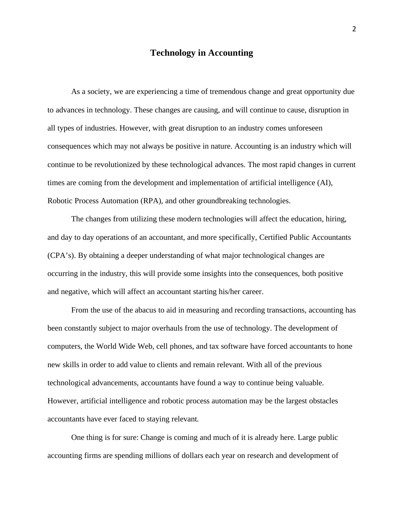## **Technology in Accounting**

 As a society, we are experiencing a time of tremendous change and great opportunity due to advances in technology. These changes are causing, and will continue to cause, disruption in all types of industries. However, with great disruption to an industry comes unforeseen consequences which may not always be positive in nature. Accounting is an industry which will continue to be revolutionized by these technological advances. The most rapid changes in current times are coming from the development and implementation of artificial intelligence (AI), Robotic Process Automation (RPA), and other groundbreaking technologies.

The changes from utilizing these modern technologies will affect the education, hiring, and day to day operations of an accountant, and more specifically, Certified Public Accountants (CPA's). By obtaining a deeper understanding of what major technological changes are occurring in the industry, this will provide some insights into the consequences, both positive and negative, which will affect an accountant starting his/her career.

 From the use of the abacus to aid in measuring and recording transactions, accounting has been constantly subject to major overhauls from the use of technology. The development of computers, the World Wide Web, cell phones, and tax software have forced accountants to hone new skills in order to add value to clients and remain relevant. With all of the previous technological advancements, accountants have found a way to continue being valuable. However, artificial intelligence and robotic process automation may be the largest obstacles accountants have ever faced to staying relevant.

 One thing is for sure: Change is coming and much of it is already here. Large public accounting firms are spending millions of dollars each year on research and development of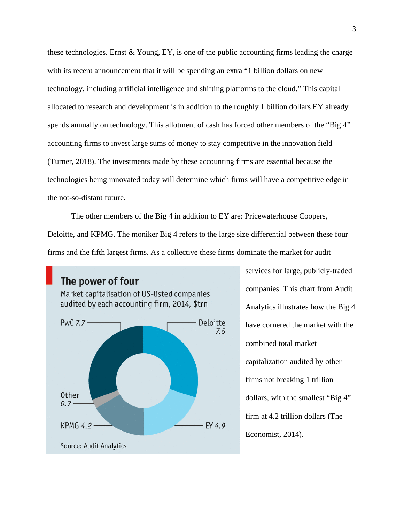these technologies. Ernst & Young, EY, is one of the public accounting firms leading the charge with its recent announcement that it will be spending an extra "1 billion dollars on new technology, including artificial intelligence and shifting platforms to the cloud." This capital allocated to research and development is in addition to the roughly 1 billion dollars EY already spends annually on technology. This allotment of cash has forced other members of the "Big 4" accounting firms to invest large sums of money to stay competitive in the innovation field (Turner, 2018). The investments made by these accounting firms are essential because the technologies being innovated today will determine which firms will have a competitive edge in the not-so-distant future.

The other members of the Big 4 in addition to EY are: Pricewaterhouse Coopers, Deloitte, and KPMG. The moniker Big 4 refers to the large size differential between these four firms and the fifth largest firms. As a collective these firms dominate the market for audit



services for large, publicly-traded companies. This chart from Audit Analytics illustrates how the Big 4 have cornered the market with the combined total market capitalization audited by other firms not breaking 1 trillion dollars, with the smallest "Big 4" firm at 4.2 trillion dollars (The Economist, 2014).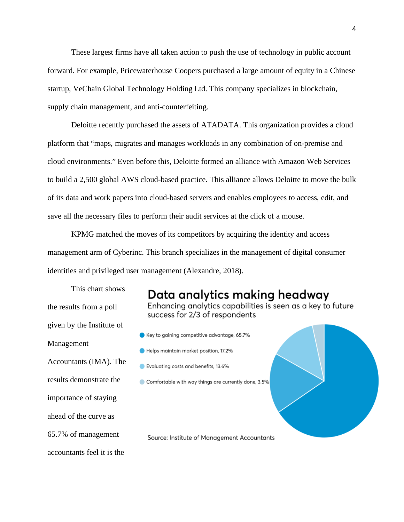These largest firms have all taken action to push the use of technology in public account forward. For example, Pricewaterhouse Coopers purchased a large amount of equity in a Chinese startup, VeChain Global Technology Holding Ltd. This company specializes in blockchain, supply chain management, and anti-counterfeiting.

Deloitte recently purchased the assets of ATADATA. This organization provides a cloud platform that "maps, migrates and manages workloads in any combination of on-premise and cloud environments." Even before this, Deloitte formed an alliance with Amazon Web Services to build a 2,500 global AWS cloud-based practice. This alliance allows Deloitte to move the bulk of its data and work papers into cloud-based servers and enables employees to access, edit, and save all the necessary files to perform their audit services at the click of a mouse.

KPMG matched the moves of its competitors by acquiring the identity and access management arm of Cyberinc. This branch specializes in the management of digital consumer identities and privileged user management (Alexandre, 2018).

This chart shows the results from a poll given by the Institute of Management Accountants (IMA). The results demonstrate the importance of staying ahead of the curve as 65.7% of management accountants feel it is the

# Data analytics making headway

Enhancing analytics capabilities is seen as a key to future success for 2/3 of respondents

- Key to gaining competitive advantage, 65.7%
- Helps maintain market position, 17.2%
- Evaluating costs and benefits, 13.6%
- Comfortable with way things are currently done, 3.5%

Source: Institute of Management Accountants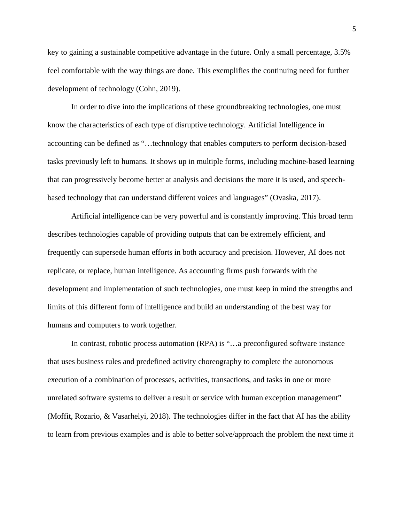key to gaining a sustainable competitive advantage in the future. Only a small percentage, 3.5% feel comfortable with the way things are done. This exemplifies the continuing need for further development of technology (Cohn, 2019).

 In order to dive into the implications of these groundbreaking technologies, one must know the characteristics of each type of disruptive technology. Artificial Intelligence in accounting can be defined as "…technology that enables computers to perform decision-based tasks previously left to humans. It shows up in multiple forms, including machine-based learning that can progressively become better at analysis and decisions the more it is used, and speechbased technology that can understand different voices and languages" (Ovaska, 2017).

Artificial intelligence can be very powerful and is constantly improving. This broad term describes technologies capable of providing outputs that can be extremely efficient, and frequently can supersede human efforts in both accuracy and precision. However, AI does not replicate, or replace, human intelligence. As accounting firms push forwards with the development and implementation of such technologies, one must keep in mind the strengths and limits of this different form of intelligence and build an understanding of the best way for humans and computers to work together.

In contrast, robotic process automation (RPA) is "...a preconfigured software instance that uses business rules and predefined activity choreography to complete the autonomous execution of a combination of processes, activities, transactions, and tasks in one or more unrelated software systems to deliver a result or service with human exception management" (Moffit, Rozario, & Vasarhelyi, 2018). The technologies differ in the fact that AI has the ability to learn from previous examples and is able to better solve/approach the problem the next time it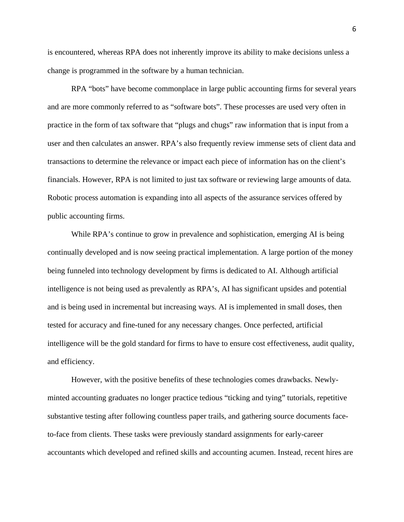is encountered, whereas RPA does not inherently improve its ability to make decisions unless a change is programmed in the software by a human technician.

RPA "bots" have become commonplace in large public accounting firms for several years and are more commonly referred to as "software bots". These processes are used very often in practice in the form of tax software that "plugs and chugs" raw information that is input from a user and then calculates an answer. RPA's also frequently review immense sets of client data and transactions to determine the relevance or impact each piece of information has on the client's financials. However, RPA is not limited to just tax software or reviewing large amounts of data. Robotic process automation is expanding into all aspects of the assurance services offered by public accounting firms.

While RPA's continue to grow in prevalence and sophistication, emerging AI is being continually developed and is now seeing practical implementation. A large portion of the money being funneled into technology development by firms is dedicated to AI. Although artificial intelligence is not being used as prevalently as RPA's, AI has significant upsides and potential and is being used in incremental but increasing ways. AI is implemented in small doses, then tested for accuracy and fine-tuned for any necessary changes. Once perfected, artificial intelligence will be the gold standard for firms to have to ensure cost effectiveness, audit quality, and efficiency.

 However, with the positive benefits of these technologies comes drawbacks. Newlyminted accounting graduates no longer practice tedious "ticking and tying" tutorials, repetitive substantive testing after following countless paper trails, and gathering source documents faceto-face from clients. These tasks were previously standard assignments for early-career accountants which developed and refined skills and accounting acumen. Instead, recent hires are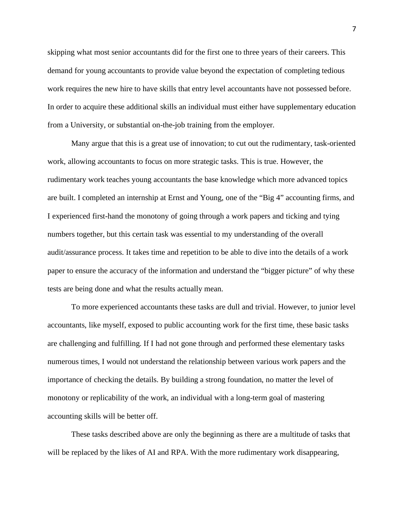skipping what most senior accountants did for the first one to three years of their careers. This demand for young accountants to provide value beyond the expectation of completing tedious work requires the new hire to have skills that entry level accountants have not possessed before. In order to acquire these additional skills an individual must either have supplementary education from a University, or substantial on-the-job training from the employer.

Many argue that this is a great use of innovation; to cut out the rudimentary, task-oriented work, allowing accountants to focus on more strategic tasks. This is true. However, the rudimentary work teaches young accountants the base knowledge which more advanced topics are built. I completed an internship at Ernst and Young, one of the "Big 4" accounting firms, and I experienced first-hand the monotony of going through a work papers and ticking and tying numbers together, but this certain task was essential to my understanding of the overall audit/assurance process. It takes time and repetition to be able to dive into the details of a work paper to ensure the accuracy of the information and understand the "bigger picture" of why these tests are being done and what the results actually mean.

To more experienced accountants these tasks are dull and trivial. However, to junior level accountants, like myself, exposed to public accounting work for the first time, these basic tasks are challenging and fulfilling. If I had not gone through and performed these elementary tasks numerous times, I would not understand the relationship between various work papers and the importance of checking the details. By building a strong foundation, no matter the level of monotony or replicability of the work, an individual with a long-term goal of mastering accounting skills will be better off.

 These tasks described above are only the beginning as there are a multitude of tasks that will be replaced by the likes of AI and RPA. With the more rudimentary work disappearing,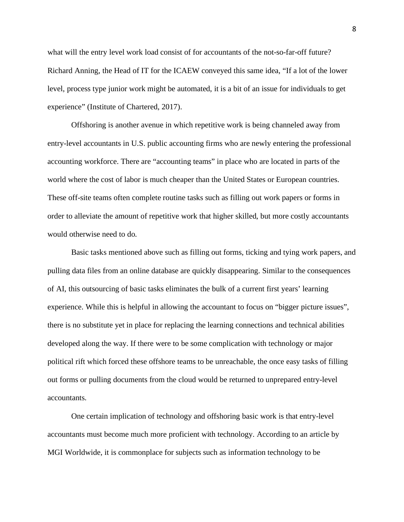what will the entry level work load consist of for accountants of the not-so-far-off future? Richard Anning, the Head of IT for the ICAEW conveyed this same idea, "If a lot of the lower level, process type junior work might be automated, it is a bit of an issue for individuals to get experience" (Institute of Chartered, 2017).

Offshoring is another avenue in which repetitive work is being channeled away from entry-level accountants in U.S. public accounting firms who are newly entering the professional accounting workforce. There are "accounting teams" in place who are located in parts of the world where the cost of labor is much cheaper than the United States or European countries. These off-site teams often complete routine tasks such as filling out work papers or forms in order to alleviate the amount of repetitive work that higher skilled, but more costly accountants would otherwise need to do.

Basic tasks mentioned above such as filling out forms, ticking and tying work papers, and pulling data files from an online database are quickly disappearing. Similar to the consequences of AI, this outsourcing of basic tasks eliminates the bulk of a current first years' learning experience. While this is helpful in allowing the accountant to focus on "bigger picture issues", there is no substitute yet in place for replacing the learning connections and technical abilities developed along the way. If there were to be some complication with technology or major political rift which forced these offshore teams to be unreachable, the once easy tasks of filling out forms or pulling documents from the cloud would be returned to unprepared entry-level accountants.

 One certain implication of technology and offshoring basic work is that entry-level accountants must become much more proficient with technology. According to an article by MGI Worldwide, it is commonplace for subjects such as information technology to be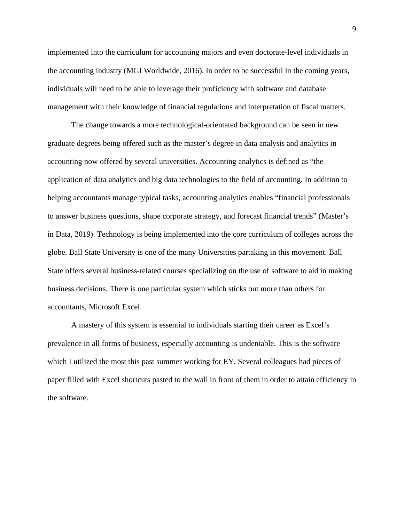implemented into the curriculum for accounting majors and even doctorate-level individuals in the accounting industry (MGI Worldwide, 2016). In order to be successful in the coming years, individuals will need to be able to leverage their proficiency with software and database management with their knowledge of financial regulations and interpretation of fiscal matters.

The change towards a more technological-orientated background can be seen in new graduate degrees being offered such as the master's degree in data analysis and analytics in accounting now offered by several universities. Accounting analytics is defined as "the application of data analytics and big data technologies to the field of accounting. In addition to helping accountants manage typical tasks, accounting analytics enables "financial professionals to answer business questions, shape corporate strategy, and forecast financial trends" (Master's in Data, 2019). Technology is being implemented into the core curriculum of colleges across the globe. Ball State University is one of the many Universities partaking in this movement. Ball State offers several business-related courses specializing on the use of software to aid in making business decisions. There is one particular system which sticks out more than others for accountants, Microsoft Excel.

A mastery of this system is essential to individuals starting their career as Excel's prevalence in all forms of business, especially accounting is undeniable. This is the software which I utilized the most this past summer working for EY. Several colleagues had pieces of paper filled with Excel shortcuts pasted to the wall in front of them in order to attain efficiency in the software.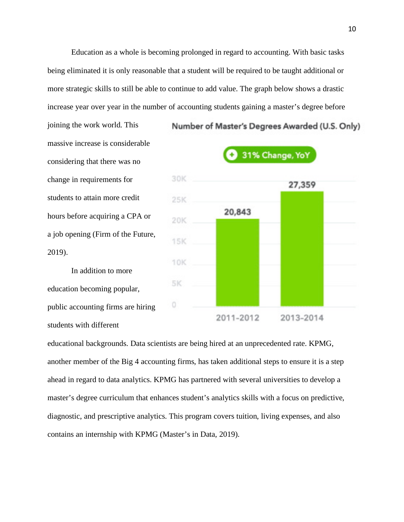Education as a whole is becoming prolonged in regard to accounting. With basic tasks being eliminated it is only reasonable that a student will be required to be taught additional or more strategic skills to still be able to continue to add value. The graph below shows a drastic increase year over year in the number of accounting students gaining a master's degree before

joining the work world. This massive increase is considerable considering that there was no change in requirements for students to attain more credit hours before acquiring a CPA or a job opening (Firm of the Future, 2019).

In addition to more education becoming popular, public accounting firms are hiring students with different



Number of Master's Degrees Awarded (U.S. Only)

educational backgrounds. Data scientists are being hired at an unprecedented rate. KPMG, another member of the Big 4 accounting firms, has taken additional steps to ensure it is a step ahead in regard to data analytics. KPMG has partnered with several universities to develop a master's degree curriculum that enhances student's analytics skills with a focus on predictive, diagnostic, and prescriptive analytics. This program covers tuition, living expenses, and also contains an internship with KPMG (Master's in Data, 2019).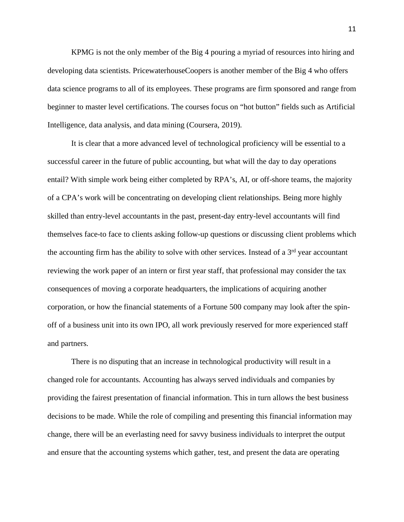KPMG is not the only member of the Big 4 pouring a myriad of resources into hiring and developing data scientists. PricewaterhouseCoopers is another member of the Big 4 who offers data science programs to all of its employees. These programs are firm sponsored and range from beginner to master level certifications. The courses focus on "hot button" fields such as Artificial Intelligence, data analysis, and data mining (Coursera, 2019).

 It is clear that a more advanced level of technological proficiency will be essential to a successful career in the future of public accounting, but what will the day to day operations entail? With simple work being either completed by RPA's, AI, or off-shore teams, the majority of a CPA's work will be concentrating on developing client relationships. Being more highly skilled than entry-level accountants in the past, present-day entry-level accountants will find themselves face-to face to clients asking follow-up questions or discussing client problems which the accounting firm has the ability to solve with other services. Instead of a  $3<sup>rd</sup>$  year accountant reviewing the work paper of an intern or first year staff, that professional may consider the tax consequences of moving a corporate headquarters, the implications of acquiring another corporation, or how the financial statements of a Fortune 500 company may look after the spinoff of a business unit into its own IPO, all work previously reserved for more experienced staff and partners.

There is no disputing that an increase in technological productivity will result in a changed role for accountants. Accounting has always served individuals and companies by providing the fairest presentation of financial information. This in turn allows the best business decisions to be made. While the role of compiling and presenting this financial information may change, there will be an everlasting need for savvy business individuals to interpret the output and ensure that the accounting systems which gather, test, and present the data are operating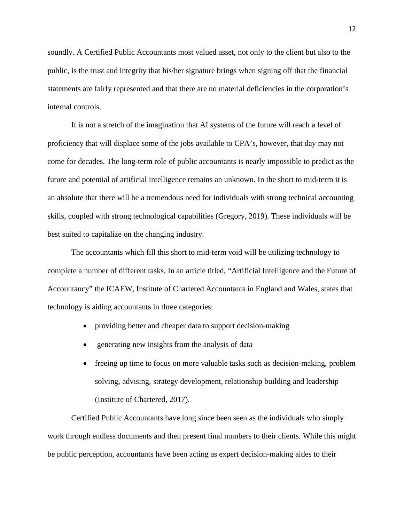soundly. A Certified Public Accountants most valued asset, not only to the client but also to the public, is the trust and integrity that his/her signature brings when signing off that the financial statements are fairly represented and that there are no material deficiencies in the corporation's internal controls.

It is not a stretch of the imagination that AI systems of the future will reach a level of proficiency that will displace some of the jobs available to CPA's, however, that day may not come for decades. The long-term role of public accountants is nearly impossible to predict as the future and potential of artificial intelligence remains an unknown. In the short to mid-term it is an absolute that there will be a tremendous need for individuals with strong technical accounting skills, coupled with strong technological capabilities (Gregory, 2019). These individuals will be best suited to capitalize on the changing industry.

The accountants which fill this short to mid-term void will be utilizing technology to complete a number of different tasks. In an article titled, "Artificial Intelligence and the Future of Accountancy" the ICAEW, Institute of Chartered Accountants in England and Wales, states that technology is aiding accountants in three categories:

- providing better and cheaper data to support decision-making
- generating new insights from the analysis of data
- freeing up time to focus on more valuable tasks such as decision-making, problem solving, advising, strategy development, relationship building and leadership (Institute of Chartered, 2017).

Certified Public Accountants have long since been seen as the individuals who simply work through endless documents and then present final numbers to their clients. While this might be public perception, accountants have been acting as expert decision-making aides to their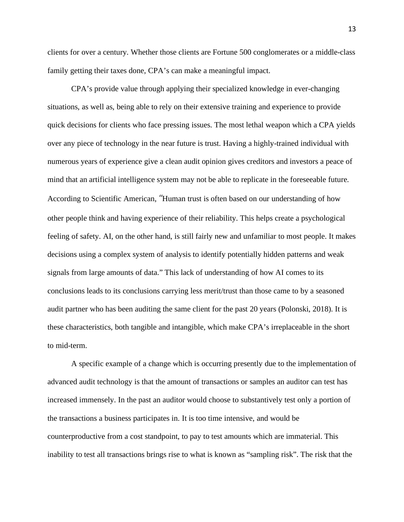clients for over a century. Whether those clients are Fortune 500 conglomerates or a middle-class family getting their taxes done, CPA's can make a meaningful impact.

CPA's provide value through applying their specialized knowledge in ever-changing situations, as well as, being able to rely on their extensive training and experience to provide quick decisions for clients who face pressing issues. The most lethal weapon which a CPA yields over any piece of technology in the near future is trust. Having a highly-trained individual with numerous years of experience give a clean audit opinion gives creditors and investors a peace of mind that an artificial intelligence system may not be able to replicate in the foreseeable future. According to Scientific American, "Human trust is often based on our understanding of how other people think and having experience of their reliability. This helps create a psychological feeling of safety. AI, on the other hand, is still fairly new and unfamiliar to most people. It makes decisions using a complex system of analysis to identify potentially hidden patterns and weak signals from large amounts of data." This lack of understanding of how AI comes to its conclusions leads to its conclusions carrying less merit/trust than those came to by a seasoned audit partner who has been auditing the same client for the past 20 years (Polonski, 2018). It is these characteristics, both tangible and intangible, which make CPA's irreplaceable in the short to mid-term.

A specific example of a change which is occurring presently due to the implementation of advanced audit technology is that the amount of transactions or samples an auditor can test has increased immensely. In the past an auditor would choose to substantively test only a portion of the transactions a business participates in. It is too time intensive, and would be counterproductive from a cost standpoint, to pay to test amounts which are immaterial. This inability to test all transactions brings rise to what is known as "sampling risk". The risk that the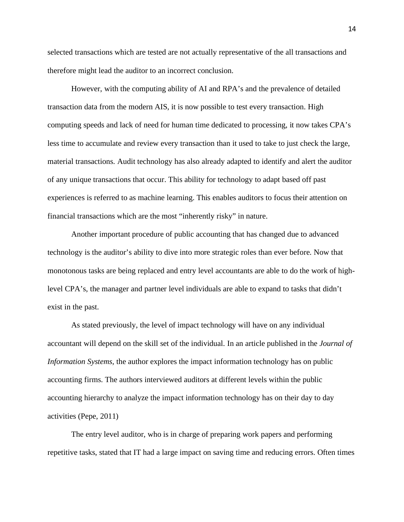selected transactions which are tested are not actually representative of the all transactions and therefore might lead the auditor to an incorrect conclusion.

However, with the computing ability of AI and RPA's and the prevalence of detailed transaction data from the modern AIS, it is now possible to test every transaction. High computing speeds and lack of need for human time dedicated to processing, it now takes CPA's less time to accumulate and review every transaction than it used to take to just check the large, material transactions. Audit technology has also already adapted to identify and alert the auditor of any unique transactions that occur. This ability for technology to adapt based off past experiences is referred to as machine learning. This enables auditors to focus their attention on financial transactions which are the most "inherently risky" in nature.

Another important procedure of public accounting that has changed due to advanced technology is the auditor's ability to dive into more strategic roles than ever before. Now that monotonous tasks are being replaced and entry level accountants are able to do the work of highlevel CPA's, the manager and partner level individuals are able to expand to tasks that didn't exist in the past.

As stated previously, the level of impact technology will have on any individual accountant will depend on the skill set of the individual. In an article published in the *Journal of Information Systems*, the author explores the impact information technology has on public accounting firms. The authors interviewed auditors at different levels within the public accounting hierarchy to analyze the impact information technology has on their day to day activities (Pepe, 2011)

The entry level auditor, who is in charge of preparing work papers and performing repetitive tasks, stated that IT had a large impact on saving time and reducing errors. Often times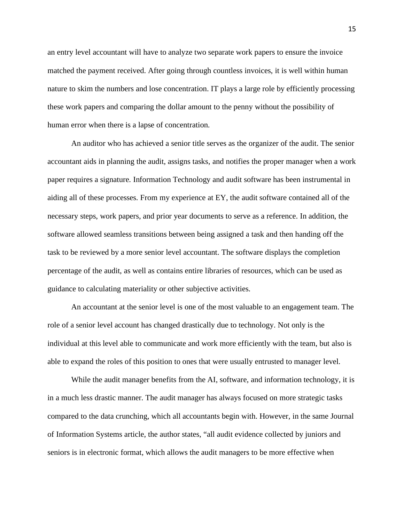an entry level accountant will have to analyze two separate work papers to ensure the invoice matched the payment received. After going through countless invoices, it is well within human nature to skim the numbers and lose concentration. IT plays a large role by efficiently processing these work papers and comparing the dollar amount to the penny without the possibility of human error when there is a lapse of concentration.

An auditor who has achieved a senior title serves as the organizer of the audit. The senior accountant aids in planning the audit, assigns tasks, and notifies the proper manager when a work paper requires a signature. Information Technology and audit software has been instrumental in aiding all of these processes. From my experience at EY, the audit software contained all of the necessary steps, work papers, and prior year documents to serve as a reference. In addition, the software allowed seamless transitions between being assigned a task and then handing off the task to be reviewed by a more senior level accountant. The software displays the completion percentage of the audit, as well as contains entire libraries of resources, which can be used as guidance to calculating materiality or other subjective activities.

An accountant at the senior level is one of the most valuable to an engagement team. The role of a senior level account has changed drastically due to technology. Not only is the individual at this level able to communicate and work more efficiently with the team, but also is able to expand the roles of this position to ones that were usually entrusted to manager level.

While the audit manager benefits from the AI, software, and information technology, it is in a much less drastic manner. The audit manager has always focused on more strategic tasks compared to the data crunching, which all accountants begin with. However, in the same Journal of Information Systems article, the author states, "all audit evidence collected by juniors and seniors is in electronic format, which allows the audit managers to be more effective when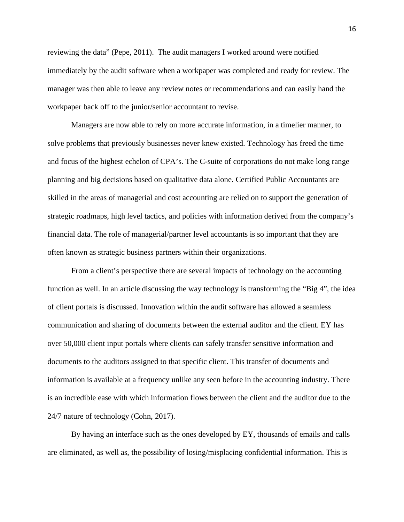reviewing the data" (Pepe, 2011). The audit managers I worked around were notified immediately by the audit software when a workpaper was completed and ready for review. The manager was then able to leave any review notes or recommendations and can easily hand the workpaper back off to the junior/senior accountant to revise.

Managers are now able to rely on more accurate information, in a timelier manner, to solve problems that previously businesses never knew existed. Technology has freed the time and focus of the highest echelon of CPA's. The C-suite of corporations do not make long range planning and big decisions based on qualitative data alone. Certified Public Accountants are skilled in the areas of managerial and cost accounting are relied on to support the generation of strategic roadmaps, high level tactics, and policies with information derived from the company's financial data. The role of managerial/partner level accountants is so important that they are often known as strategic business partners within their organizations.

From a client's perspective there are several impacts of technology on the accounting function as well. In an article discussing the way technology is transforming the "Big 4", the idea of client portals is discussed. Innovation within the audit software has allowed a seamless communication and sharing of documents between the external auditor and the client. EY has over 50,000 client input portals where clients can safely transfer sensitive information and documents to the auditors assigned to that specific client. This transfer of documents and information is available at a frequency unlike any seen before in the accounting industry. There is an incredible ease with which information flows between the client and the auditor due to the 24/7 nature of technology (Cohn, 2017).

By having an interface such as the ones developed by EY, thousands of emails and calls are eliminated, as well as, the possibility of losing/misplacing confidential information. This is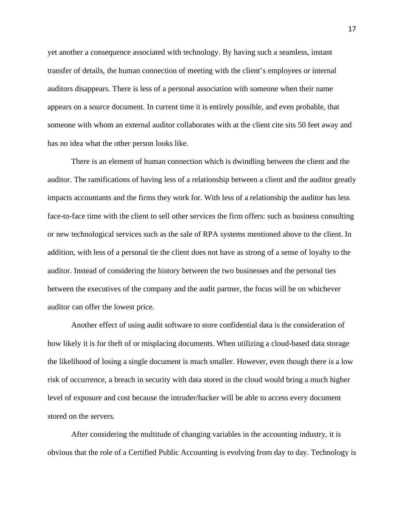yet another a consequence associated with technology. By having such a seamless, instant transfer of details, the human connection of meeting with the client's employees or internal auditors disappears. There is less of a personal association with someone when their name appears on a source document. In current time it is entirely possible, and even probable, that someone with whom an external auditor collaborates with at the client cite sits 50 feet away and has no idea what the other person looks like.

There is an element of human connection which is dwindling between the client and the auditor. The ramifications of having less of a relationship between a client and the auditor greatly impacts accountants and the firms they work for. With less of a relationship the auditor has less face-to-face time with the client to sell other services the firm offers: such as business consulting or new technological services such as the sale of RPA systems mentioned above to the client. In addition, with less of a personal tie the client does not have as strong of a sense of loyalty to the auditor. Instead of considering the history between the two businesses and the personal ties between the executives of the company and the audit partner, the focus will be on whichever auditor can offer the lowest price.

Another effect of using audit software to store confidential data is the consideration of how likely it is for theft of or misplacing documents. When utilizing a cloud-based data storage the likelihood of losing a single document is much smaller. However, even though there is a low risk of occurrence, a breach in security with data stored in the cloud would bring a much higher level of exposure and cost because the intruder/hacker will be able to access every document stored on the servers.

After considering the multitude of changing variables in the accounting industry, it is obvious that the role of a Certified Public Accounting is evolving from day to day. Technology is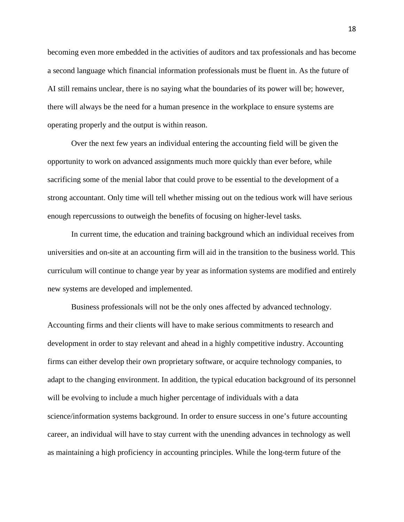becoming even more embedded in the activities of auditors and tax professionals and has become a second language which financial information professionals must be fluent in. As the future of AI still remains unclear, there is no saying what the boundaries of its power will be; however, there will always be the need for a human presence in the workplace to ensure systems are operating properly and the output is within reason.

Over the next few years an individual entering the accounting field will be given the opportunity to work on advanced assignments much more quickly than ever before, while sacrificing some of the menial labor that could prove to be essential to the development of a strong accountant. Only time will tell whether missing out on the tedious work will have serious enough repercussions to outweigh the benefits of focusing on higher-level tasks.

In current time, the education and training background which an individual receives from universities and on-site at an accounting firm will aid in the transition to the business world. This curriculum will continue to change year by year as information systems are modified and entirely new systems are developed and implemented.

Business professionals will not be the only ones affected by advanced technology. Accounting firms and their clients will have to make serious commitments to research and development in order to stay relevant and ahead in a highly competitive industry. Accounting firms can either develop their own proprietary software, or acquire technology companies, to adapt to the changing environment. In addition, the typical education background of its personnel will be evolving to include a much higher percentage of individuals with a data science/information systems background. In order to ensure success in one's future accounting career, an individual will have to stay current with the unending advances in technology as well as maintaining a high proficiency in accounting principles. While the long-term future of the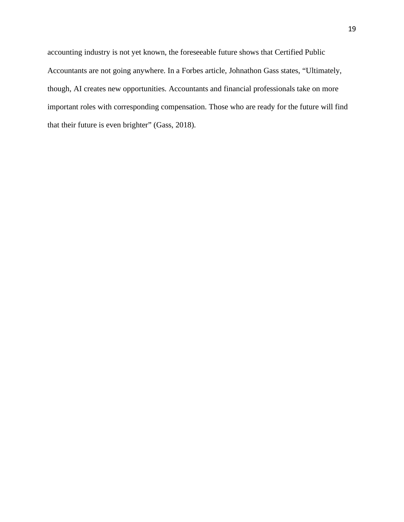accounting industry is not yet known, the foreseeable future shows that Certified Public Accountants are not going anywhere. In a Forbes article, Johnathon Gass states, "Ultimately, though, AI creates new opportunities. Accountants and financial professionals take on more important roles with corresponding compensation. Those who are ready for the future will find that their future is even brighter" (Gass, 2018).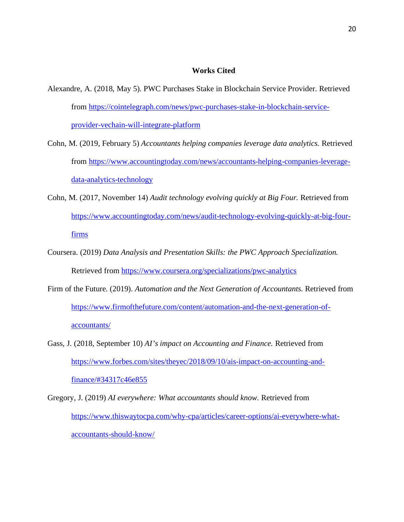#### **Works Cited**

- Alexandre, A. (2018, May 5). PWC Purchases Stake in Blockchain Service Provider. Retrieved from https://cointelegraph.com/news/pwc-purchases-stake-in-blockchain-serviceprovider-vechain-will-integrate-platform
- Cohn, M. (2019, February 5) *Accountants helping companies leverage data analytics.* Retrieved from https://www.accountingtoday.com/news/accountants-helping-companies-leveragedata-analytics-technology
- Cohn, M. (2017, November 14) *Audit technology evolving quickly at Big Four.* Retrieved from https://www.accountingtoday.com/news/audit-technology-evolving-quickly-at-big-fourfirms
- Coursera. (2019) *Data Analysis and Presentation Skills: the PWC Approach Specialization.* Retrieved from https://www.coursera.org/specializations/pwc-analytics
- Firm of the Future. (2019). *Automation and the Next Generation of Accountants.* Retrieved from https://www.firmofthefuture.com/content/automation-and-the-next-generation-ofaccountants/
- Gass, J. (2018, September 10) *AI's impact on Accounting and Finance.* Retrieved from https://www.forbes.com/sites/theyec/2018/09/10/ais-impact-on-accounting-andfinance/#34317c46e855
- Gregory, J. (2019) *AI everywhere: What accountants should know.* Retrieved from https://www.thiswaytocpa.com/why-cpa/articles/career-options/ai-everywhere-whataccountants-should-know/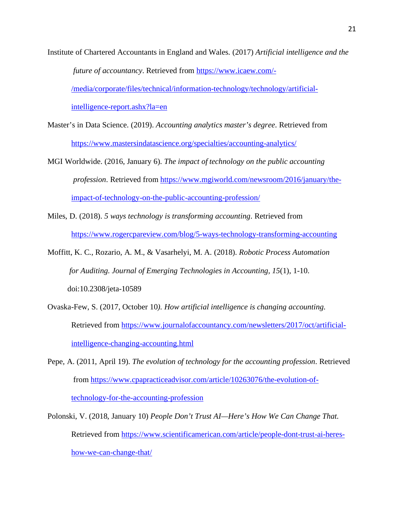Institute of Chartered Accountants in England and Wales. (2017) *Artificial intelligence and the future of accountancy*. Retrieved from https://www.icaew.com/- /media/corporate/files/technical/information-technology/technology/artificialintelligence-report.ashx?la=en

Master's in Data Science. (2019). *Accounting analytics master's degree*. Retrieved from https://www.mastersindatascience.org/specialties/accounting-analytics/

- MGI Worldwide. (2016, January 6). *The impact of technology on the public accounting profession*. Retrieved from https://www.mgiworld.com/newsroom/2016/january/theimpact-of-technology-on-the-public-accounting-profession/
- Miles, D. (2018). *5 ways technology is transforming accounting*. Retrieved from https://www.rogercpareview.com/blog/5-ways-technology-transforming-accounting
- Moffitt, K. C., Rozario, A. M., & Vasarhelyi, M. A. (2018). *Robotic Process Automation for Auditing*. *Journal of Emerging Technologies in Accounting, 15*(1), 1-10. doi:10.2308/jeta-10589
- Ovaska-Few, S. (2017, October 10*). How artificial intelligence is changing accounting*. Retrieved from https://www.journalofaccountancy.com/newsletters/2017/oct/artificialintelligence-changing-accounting.html
- Pepe, A. (2011, April 19). *The evolution of technology for the accounting profession*. Retrieved from https://www.cpapracticeadvisor.com/article/10263076/the-evolution-oftechnology-for-the-accounting-profession
- Polonski, V. (2018, January 10) *People Don't Trust AI—Here's How We Can Change That.* Retrieved from https://www.scientificamerican.com/article/people-dont-trust-ai-hereshow-we-can-change-that/